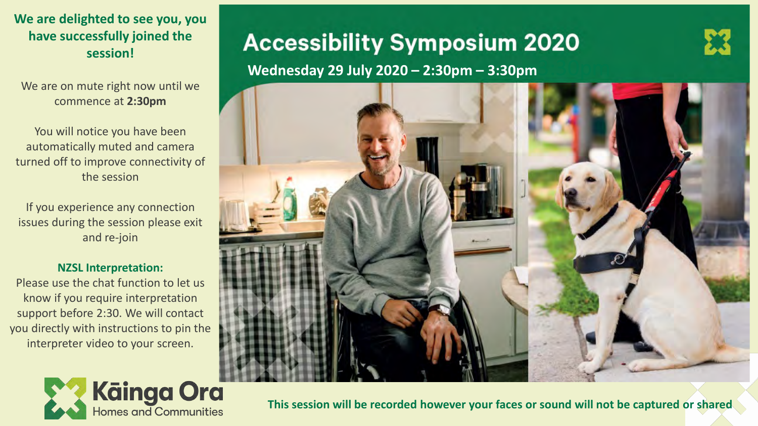**We are delighted to see you, you have successfully joined the session!** 

We are on mute right now until we commence at **2:30pm**

You will notice you have been automatically muted and camera turned off to improve connectivity of the session

If you experience any connection issues during the session please exit and re-join

### **NZSL Interpretation:**

Please use the chat function to let us know if you require interpretation support before 2:30. We will contact you directly with instructions to pin the interpreter video to your screen.



# **Accessibility Symposium 2020**

**Wednesday 29 July 2020 - 2:30pm - 3:30pm** 



**This session will be recorded however your faces or sound will not be captured or shared**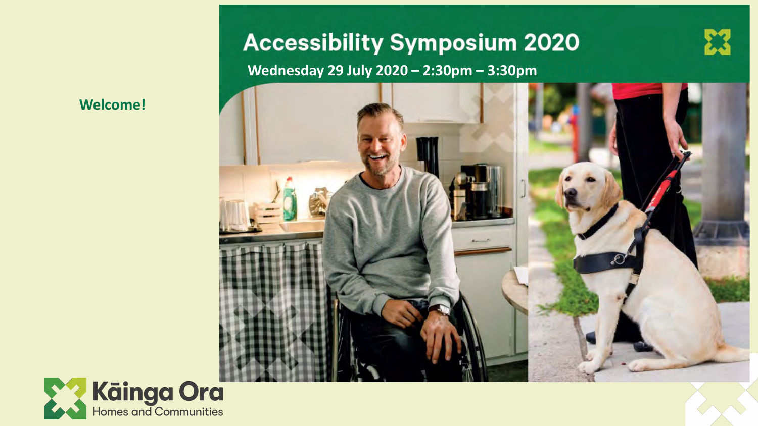### **Welcome!**

# **Accessibility Symposium 2020**

Wednesday 29 July 2020 - 2:30pm - 3:30pm

![](_page_1_Picture_3.jpeg)

![](_page_1_Picture_4.jpeg)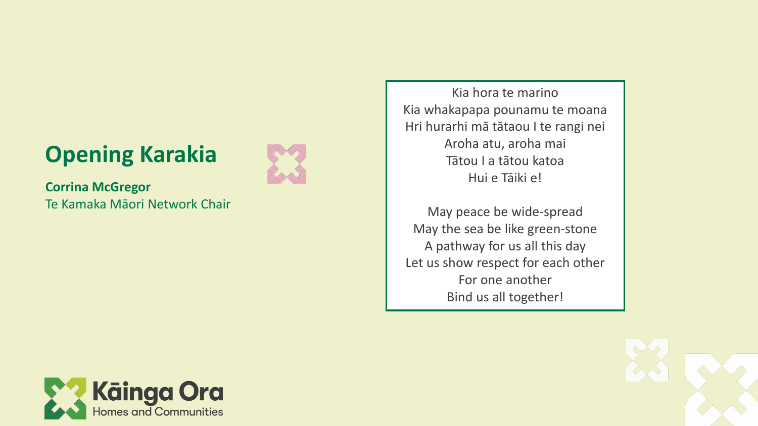# **Opening Karakia**

![](_page_2_Picture_1.jpeg)

**Corrina McGregor** Te Kamaka Māori Network Chair

Kia hora te marino Kia whakapapa pounamu te moana Hri hurarhi mā tātaou I te rangi nei Aroha atu, aroha mai Tātou I a tātou katoa Hui e Tāiki e!

May peace be wide -spread May the sea be like green -stone A pathway for us all this day Let us show respect for each other For one another Bind us all together!

![](_page_2_Picture_5.jpeg)

![](_page_2_Picture_6.jpeg)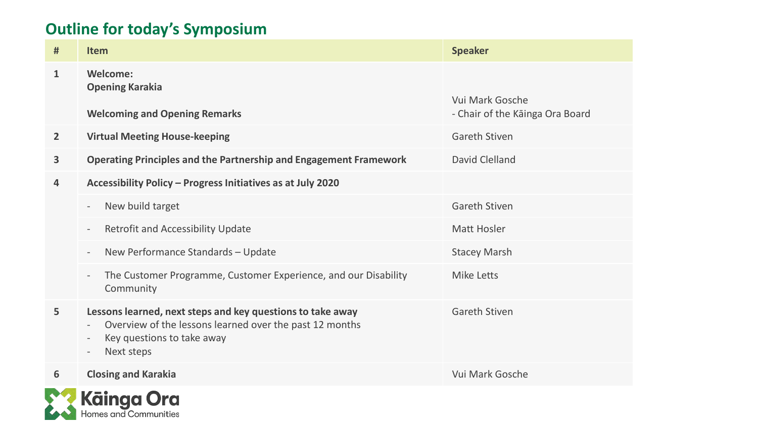# **Outline for today's Symposium**

| #              | <b>Item</b>                                                                                                                                                                                                                                           | <b>Speaker</b>                  |  |  |
|----------------|-------------------------------------------------------------------------------------------------------------------------------------------------------------------------------------------------------------------------------------------------------|---------------------------------|--|--|
| $\mathbf{1}$   | Welcome:<br><b>Opening Karakia</b>                                                                                                                                                                                                                    | Vui Mark Gosche                 |  |  |
|                | <b>Welcoming and Opening Remarks</b>                                                                                                                                                                                                                  | - Chair of the Kainga Ora Board |  |  |
| $\overline{2}$ | <b>Virtual Meeting House-keeping</b>                                                                                                                                                                                                                  | <b>Gareth Stiven</b>            |  |  |
| $\mathbf{3}$   | <b>Operating Principles and the Partnership and Engagement Framework</b>                                                                                                                                                                              | David Clelland                  |  |  |
| 4              | Accessibility Policy - Progress Initiatives as at July 2020                                                                                                                                                                                           |                                 |  |  |
|                | New build target<br>$\overline{\phantom{a}}$                                                                                                                                                                                                          | <b>Gareth Stiven</b>            |  |  |
|                | <b>Retrofit and Accessibility Update</b><br>$\overline{\phantom{a}}$                                                                                                                                                                                  | <b>Matt Hosler</b>              |  |  |
|                | New Performance Standards - Update<br>$\overline{\phantom{a}}$                                                                                                                                                                                        | <b>Stacey Marsh</b>             |  |  |
|                | The Customer Programme, Customer Experience, and our Disability<br>$\overline{\phantom{a}}$<br>Community                                                                                                                                              | <b>Mike Letts</b>               |  |  |
| 5              | Lessons learned, next steps and key questions to take away<br>Overview of the lessons learned over the past 12 months<br>$\overline{\phantom{a}}$<br>Key questions to take away<br>$\overline{\phantom{a}}$<br>Next steps<br>$\overline{\phantom{a}}$ | <b>Gareth Stiven</b>            |  |  |
| 6              | <b>Closing and Karakia</b>                                                                                                                                                                                                                            | Vui Mark Gosche                 |  |  |

![](_page_3_Picture_2.jpeg)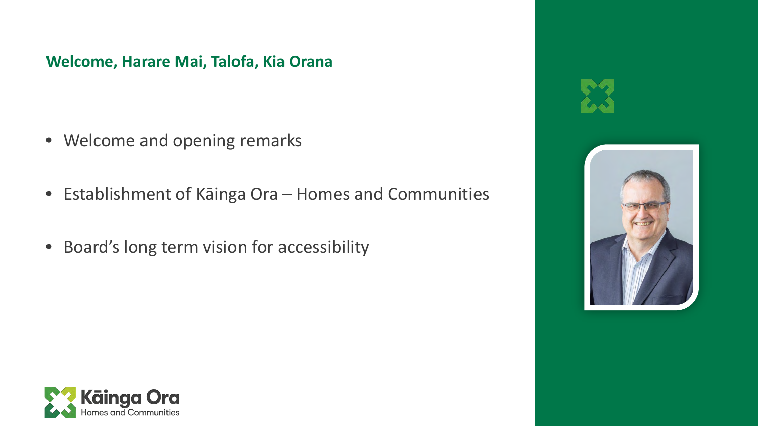**Welcome, Harare Mai, Talofa, Kia Orana** 

- Welcome and opening remarks
- Establishment of Kāinga Ora Homes and Communities
- Board's long term vision for accessibility

![](_page_4_Picture_4.jpeg)

![](_page_4_Picture_5.jpeg)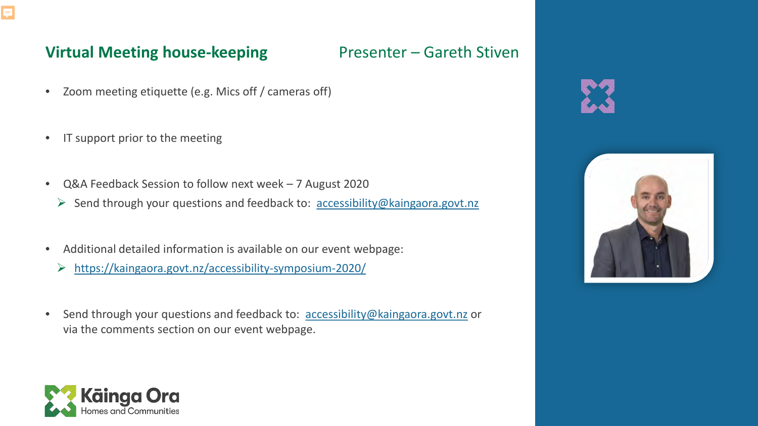![](_page_5_Picture_0.jpeg)

### **Virtual Meeting house-keeping The State Presenter – Gareth Stiven**

- Zoom meeting etiquette (e.g. Mics off / cameras off)
- IT support prior to the meeting
- Q&A Feedback Session to follow next week 7 August 2020
	- $\triangleright$  Send through your questions and feedback to: [accessibility@kaingaora.govt.nz](mailto:accessibility@kaingaora.govt.nz)
- Additional detailed information is available on our event webpage:
	- <https://kaingaora.govt.nz/accessibility-symposium-2020/>
- Send through your questions and feedback to: [accessibility@kaingaora.govt.nz](mailto:accessibility@kaingaora.govt.nz) or via the comments section on our event webpage.

![](_page_5_Picture_10.jpeg)

![](_page_5_Picture_11.jpeg)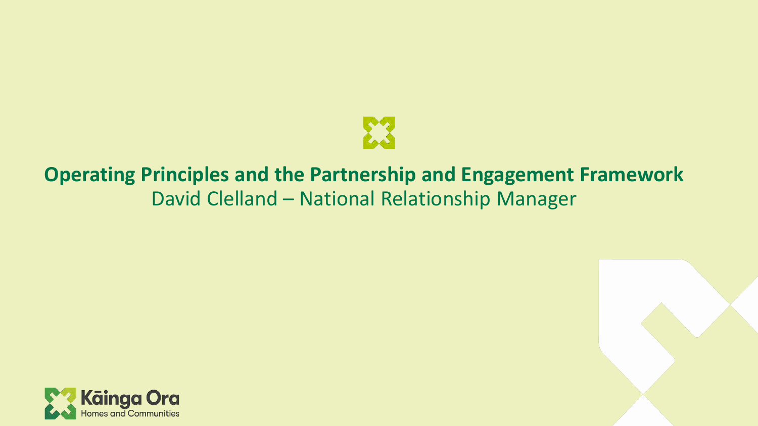![](_page_6_Picture_0.jpeg)

# **Operating Principles and the Partnership and Engagement Framework** David Clelland – National Relationship Manager

![](_page_6_Picture_2.jpeg)

![](_page_6_Picture_3.jpeg)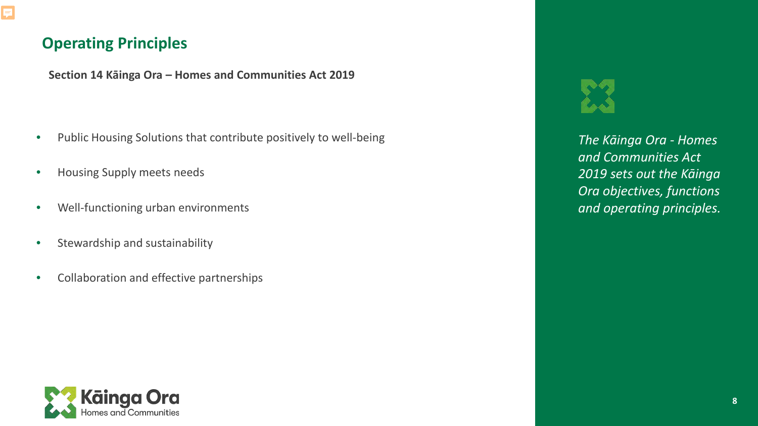## **Operating Principles**

**Section 14 Kāinga Ora – Homes and Communities Act 2019**

- Public Housing Solutions that contribute positively to well-being
- Housing Supply meets needs
- Well-functioning urban environments
- Stewardship and sustainability
- Collaboration and effective partnerships

*The Kāinga Ora - Homes and Communities Act 2019 sets out the Kāinga Ora objectives, functions and operating principles.* 

![](_page_7_Picture_10.jpeg)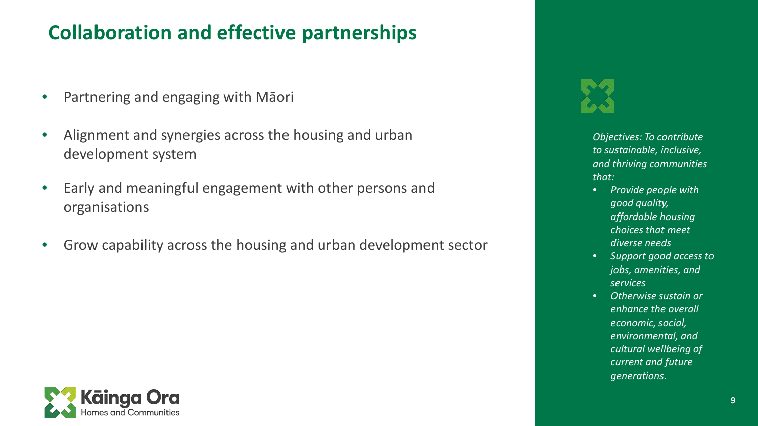# **Collaboration and effective partnerships**

- Partnering and engaging with Māori
- Alignment and synergies across the housing and urban development system
- Early and meaningful engagement with other persons and organisations
- Grow capability across the housing and urban development sector

![](_page_8_Picture_5.jpeg)

*Objectives: To contribute to sustainable, inclusive, and thriving communities that:* 

- *Provide people with good quality, affordable housing choices that meet diverse needs*
- *Support good access to jobs, amenities, and services*
- *Otherwise sustain or enhance the overall economic, social, environmental, and cultural wellbeing of current and future generations.*

![](_page_8_Picture_10.jpeg)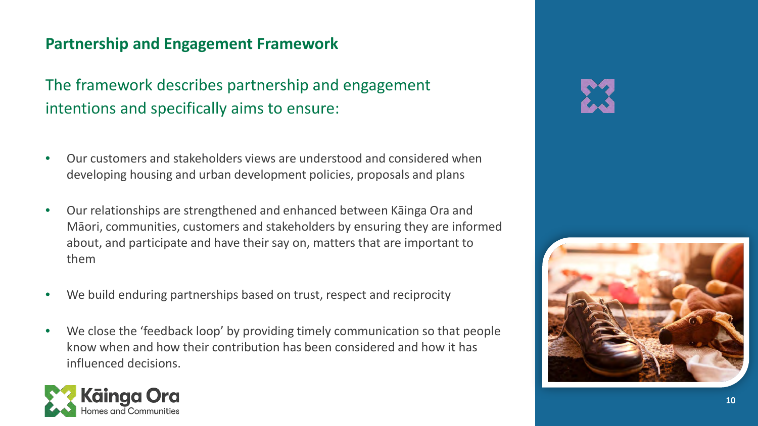## **Partnership and Engagement Framework**

The framework describes partnership and engagement intentions and specifically aims to ensure:

- Our customers and stakeholders views are understood and considered when developing housing and urban development policies, proposals and plans
- Our relationships are strengthened and enhanced between Kāinga Ora and Māori, communities, customers and stakeholders by ensuring they are informed about, and participate and have their say on, matters that are important to them
- We build enduring partnerships based on trust, respect and reciprocity
- We close the 'feedback loop' by providing timely communication so that people know when and how their contribution has been considered and how it has influenced decisions.

![](_page_9_Picture_6.jpeg)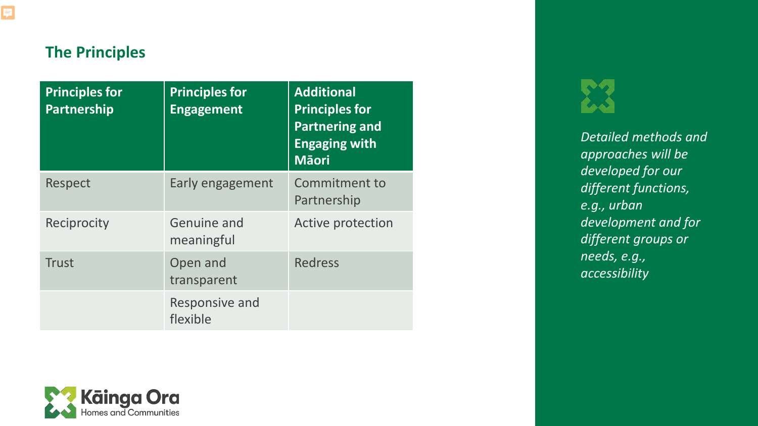## **The Principles**

| <b>Principles for</b><br>Partnership | <b>Principles for</b><br><b>Engagement</b> | <b>Additional</b><br><b>Principles for</b><br><b>Partnering and</b><br><b>Engaging with</b><br><b>Māori</b> |
|--------------------------------------|--------------------------------------------|-------------------------------------------------------------------------------------------------------------|
| <b>Respect</b>                       | Early engagement                           | <b>Commitment to</b><br>Partnership                                                                         |
| Reciprocity                          | Genuine and<br>meaningful                  | Active protection                                                                                           |
| <b>Trust</b>                         | Open and<br>transparent                    | <b>Redress</b>                                                                                              |
|                                      | Responsive and<br>flexible                 |                                                                                                             |

![](_page_10_Picture_3.jpeg)

*Detailed methods and approaches will be developed for our different functions, e.g., urban development and for different groups or needs, e.g., accessibility*

![](_page_10_Picture_5.jpeg)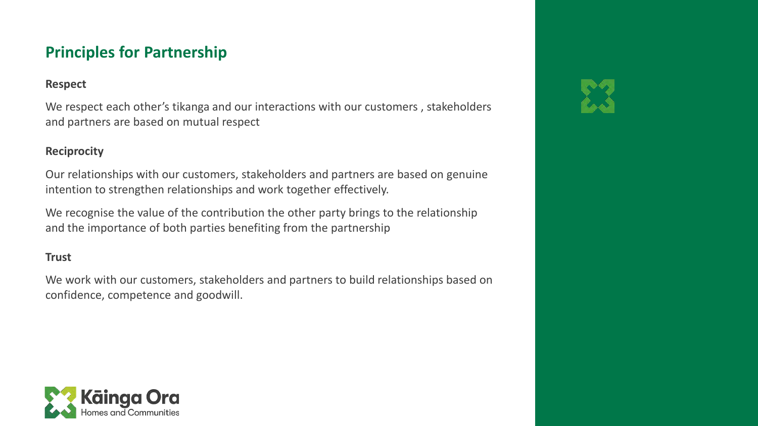## **Principles for Partnership**

### **Respect**

We respect each other's tikanga and our interactions with our customers , stakeholders and partners are based on mutual respect

### **Reciprocity**

Our relationships with our customers, stakeholders and partners are based on genuine intention to strengthen relationships and work together effectively.

We recognise the value of the contribution the other party brings to the relationship and the importance of both parties benefiting from the partnership

### **Trust**

We work with our customers, stakeholders and partners to build relationships based on confidence, competence and goodwill.

![](_page_11_Picture_8.jpeg)

![](_page_11_Picture_9.jpeg)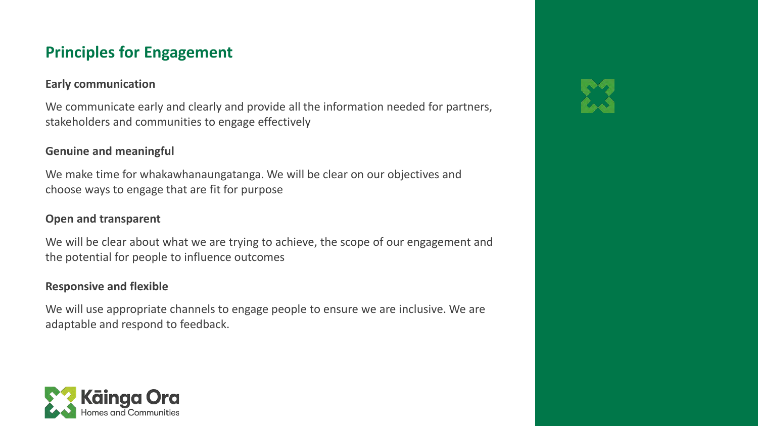## **Principles for Engagement**

### **Early communication**

We communicate early and clearly and provide all the information needed for partners, stakeholders and communities to engage effectively

### **Genuine and meaningful**

We make time for whakawhanaungatanga. We will be clear on our objectives and choose ways to engage that are fit for purpose

### **Open and transparent**

We will be clear about what we are trying to achieve, the scope of our engagement and the potential for people to influence outcomes

### **Responsive and flexible**

We will use appropriate channels to engage people to ensure we are inclusive. We are adaptable and respond to feedback.

![](_page_12_Picture_9.jpeg)

![](_page_12_Picture_10.jpeg)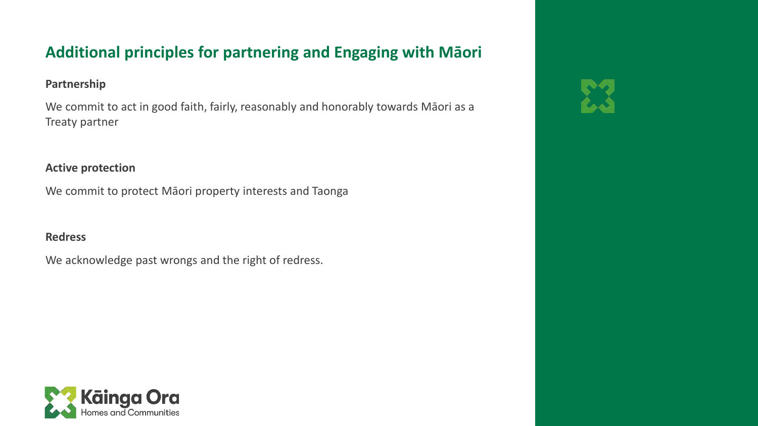## **Additional principles for partnering and Engaging with Māori**

### **Partnership**

We commit to act in good faith, fairly, reasonably and honorably towards Māori as a Treaty partner

### **Active protection**

We commit to protect Māori property interests and Taonga

### **Redress**

We acknowledge past wrongs and the right of redress.

![](_page_13_Picture_7.jpeg)

![](_page_13_Picture_8.jpeg)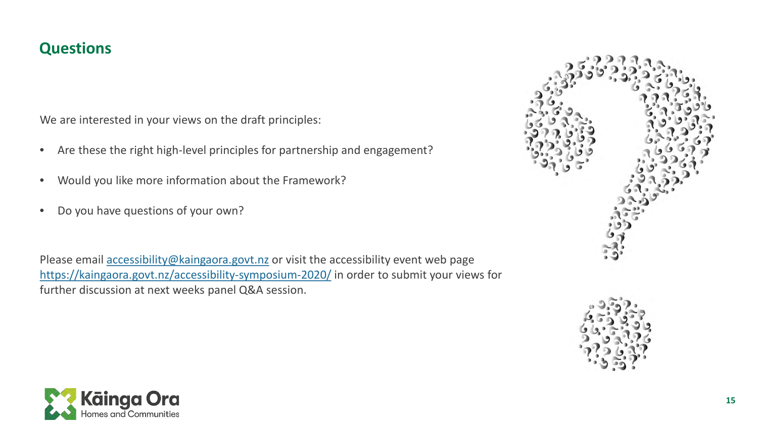### **Questions**

We are interested in your views on the draft principles:

- Are these the right high-level principles for partnership and engagement?
- Would you like more information about the Framework?
- Do you have questions of your own?

Please email [accessibility@kaingaora.govt.nz](mailto:accessibility@kaingaora.govt.nz) or visit the accessibility event web page <https://kaingaora.govt.nz/accessibility-symposium-2020/> in order to submit your views for further discussion at next weeks panel Q&A session.

![](_page_14_Picture_6.jpeg)

![](_page_14_Picture_7.jpeg)

![](_page_14_Picture_8.jpeg)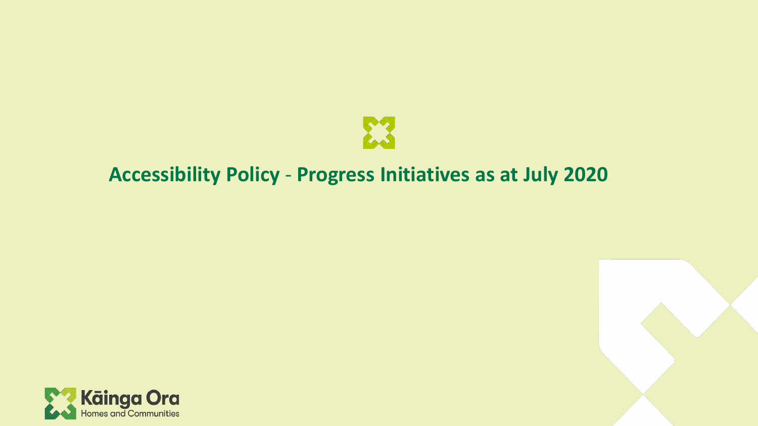![](_page_15_Picture_0.jpeg)

# **Accessibility Policy** - **Progress Initiatives as at July 2020**

![](_page_15_Picture_2.jpeg)

![](_page_15_Picture_3.jpeg)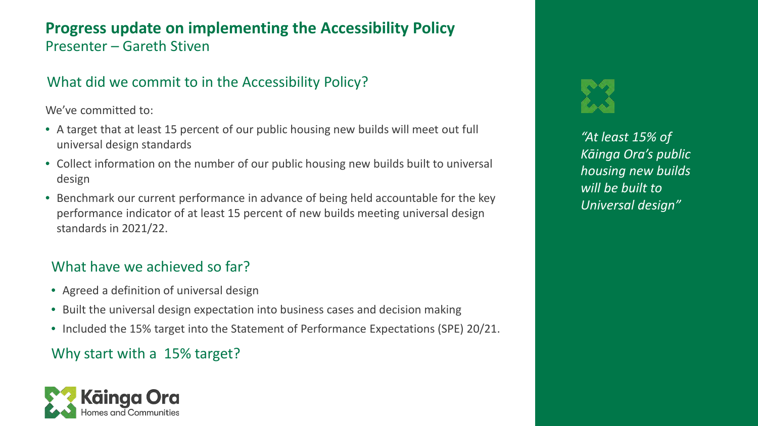### **Progress update on implementing the Accessibility Policy** Presenter – Gareth Stiven

### What did we commit to in the Accessibility Policy?

We've committed to:

- A target that at least 15 percent of our public housing new builds will meet out full universal design standards
- Collect information on the number of our public housing new builds built to universal design
- Benchmark our current performance in advance of being held accountable for the key performance indicator of at least 15 percent of new builds meeting universal design standards in 2021/22.

### What have we achieved so far?

- Agreed a definition of universal design
- Built the universal design expectation into business cases and decision making
- Included the 15% target into the Statement of Performance Expectations (SPE) 20/21.

### Why start with a 15% target?

![](_page_16_Picture_11.jpeg)

*"At least 15% of Kāinga Ora's public housing new builds will be built to Universal design"*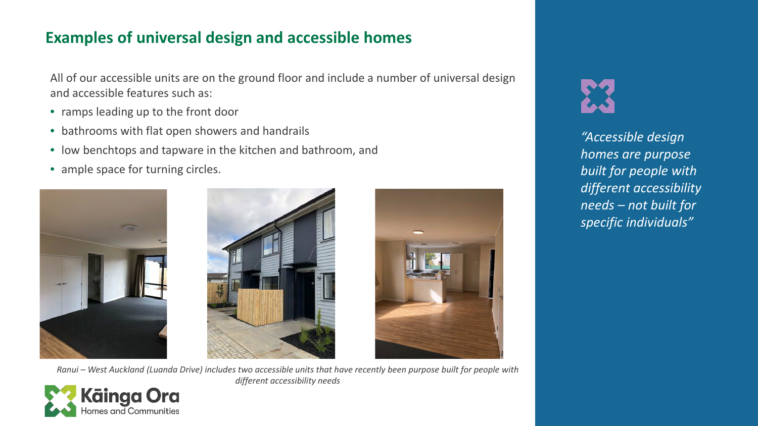## **Examples of universal design and accessible homes**

All of our accessible units are on the ground floor and include a number of universal design and accessible features such as:

- ramps leading up to the front door
- bathrooms with flat open showers and handrails
- low benchtops and tapware in the kitchen and bathroom, and
- ample space for turning circles.

![](_page_17_Picture_6.jpeg)

![](_page_17_Picture_7.jpeg)

![](_page_17_Picture_8.jpeg)

*Ranui – West Auckland (Luanda Drive) includes two accessible units that have recently been purpose built for people with different accessibility needs*

![](_page_17_Picture_10.jpeg)

*"Accessible design homes are purpose built for people with different accessibility needs – not built for specific individuals"*

![](_page_17_Picture_12.jpeg)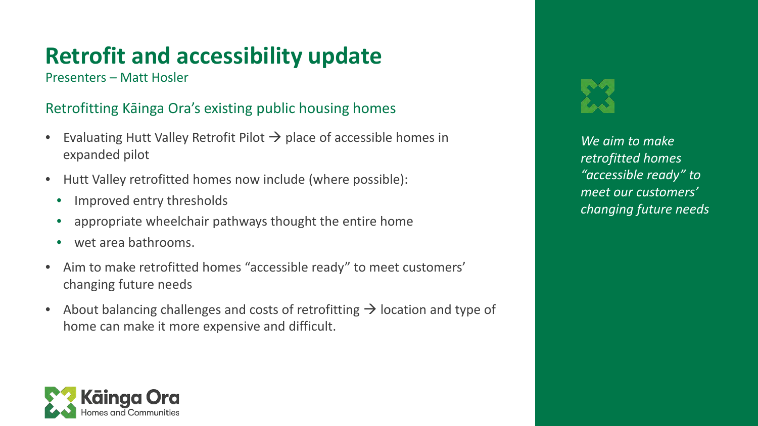# **Retrofit and accessibility update**

Presenters – Matt Hosler

### Retrofitting Kāinga Ora's existing public housing homes

- Evaluating Hutt Valley Retrofit Pilot  $\rightarrow$  place of accessible homes in expanded pilot
- Hutt Valley retrofitted homes now include (where possible):
	- Improved entry thresholds
	- appropriate wheelchair pathways thought the entire home
	- wet area bathrooms.
- Aim to make retrofitted homes "accessible ready" to meet customers' changing future needs
- About balancing challenges and costs of retrofitting  $\rightarrow$  location and type of home can make it more expensive and difficult.

![](_page_18_Picture_10.jpeg)

*We aim to make retrofitted homes "accessible ready" to meet our customers' changing future needs*

![](_page_18_Picture_12.jpeg)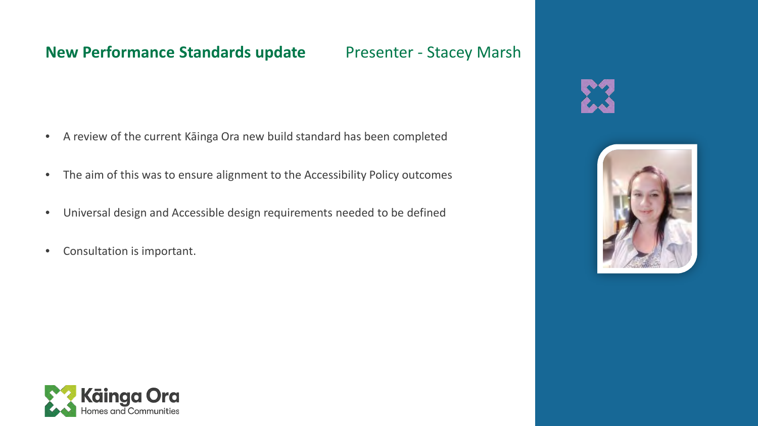### **New Performance Standards update** Presenter - Stacey Marsh

- A review of the current Kāinga Ora new build standard has been completed
- The aim of this was to ensure alignment to the Accessibility Policy outcomes
- Universal design and Accessible design requirements needed to be defined
- Consultation is important.

![](_page_19_Picture_6.jpeg)

![](_page_19_Picture_7.jpeg)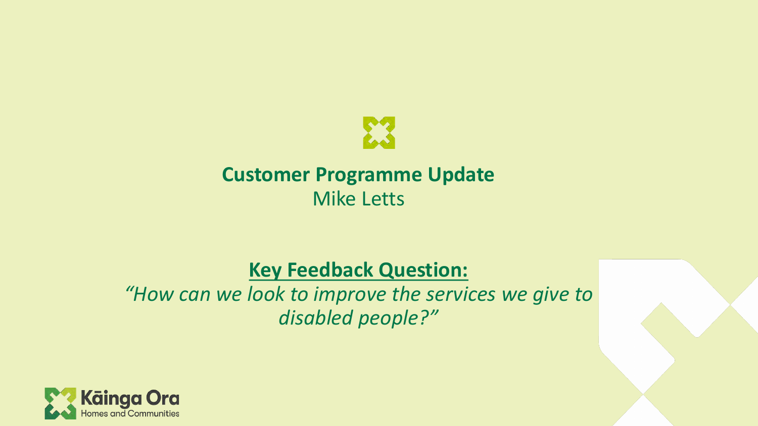![](_page_20_Picture_0.jpeg)

# **Customer Programme Update** Mike Letts

# **Key Feedback Question:**

*"How can we look to improve the services we give to disabled people?"*

![](_page_20_Picture_4.jpeg)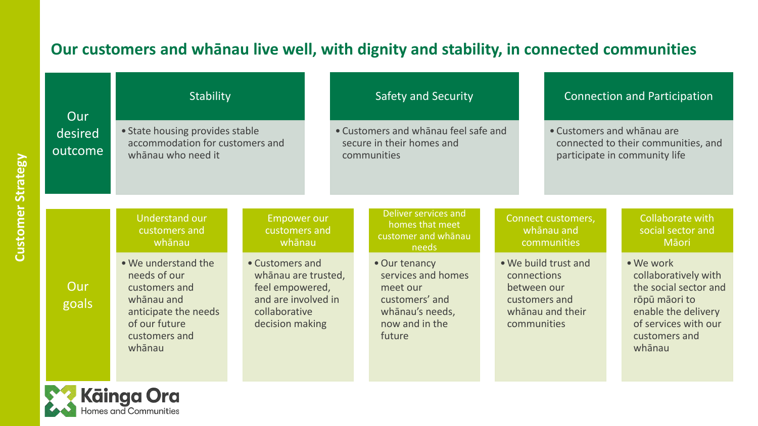## **Our customers and whānau live well, with dignity and stability, in connected communities**

| Our                | Stability                                                                                                                              |                                                                                                                      |                                                                                  | <b>Safety and Security</b>                                                                                       |                                                            | <b>Connection and Participation</b>                                                                |                                                                                                                                                       |
|--------------------|----------------------------------------------------------------------------------------------------------------------------------------|----------------------------------------------------------------------------------------------------------------------|----------------------------------------------------------------------------------|------------------------------------------------------------------------------------------------------------------|------------------------------------------------------------|----------------------------------------------------------------------------------------------------|-------------------------------------------------------------------------------------------------------------------------------------------------------|
| desired<br>outcome | • State housing provides stable<br>accommodation for customers and<br>whānau who need it                                               |                                                                                                                      | • Customers and whanau feel safe and<br>secure in their homes and<br>communities |                                                                                                                  |                                                            | • Customers and whanau are<br>connected to their communities, and<br>participate in community life |                                                                                                                                                       |
|                    | <b>Understand our</b><br>customers and<br>whānau                                                                                       | <b>Empower our</b><br>customers and<br>whānau                                                                        |                                                                                  | Deliver services and<br>homes that meet<br>customer and whanau<br>needs                                          |                                                            | Connect customers,<br>whānau and<br>communities                                                    | Collaborate with<br>social sector and<br>Māori                                                                                                        |
| Our<br>goals       | . We understand the<br>needs of our<br>customers and<br>whānau and<br>anticipate the needs<br>of our future<br>customers and<br>whānau | • Customers and<br>whānau are trusted,<br>feel empowered,<br>and are involved in<br>collaborative<br>decision making |                                                                                  | • Our tenancy<br>services and homes<br>meet our<br>customers' and<br>whānau's needs,<br>now and in the<br>future | connections<br>between our<br>customers and<br>communities | • We build trust and<br>whānau and their                                                           | • We work<br>collaboratively with<br>the social sector and<br>rōpū māori to<br>enable the delivery<br>of services with our<br>customers and<br>whānau |
|                    | <b>Kainga Ora</b><br>Homes and Communities                                                                                             |                                                                                                                      |                                                                                  |                                                                                                                  |                                                            |                                                                                                    |                                                                                                                                                       |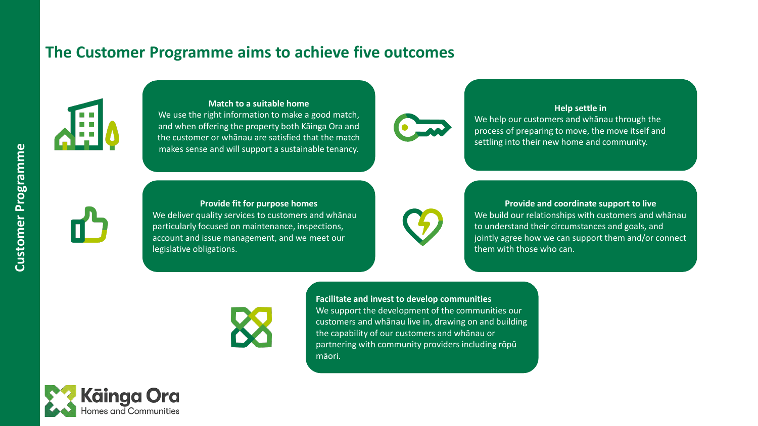### **The Customer Programme aims to achieve five outcomes**

![](_page_22_Picture_1.jpeg)

### **Match to a suitable home**

We use the right information to make a good match, and when offering the property both Kāinga Ora and the customer or whānau are satisfied that the match makes sense and will support a sustainable tenancy.

![](_page_22_Picture_4.jpeg)

### **Help settle in** We help our customers and whānau through the process of preparing to move, the move itself and settling into their new home and community.

![](_page_22_Picture_6.jpeg)

### **Provide fit for purpose homes** We deliver quality services to customers and whānau particularly focused on maintenance, inspections, account and issue management, and we meet our legislative obligations.

![](_page_22_Picture_8.jpeg)

**Provide and coordinate support to live** We build our relationships with customers and whānau to understand their circumstances and goals, and jointly agree how we can support them and/or connect them with those who can.

![](_page_22_Picture_10.jpeg)

**Facilitate and invest to develop communities** We support the development of the communities our customers and whānau live in, drawing on and building the capability of our customers and whānau or partnering with community providers including rōpū māori.

![](_page_22_Picture_12.jpeg)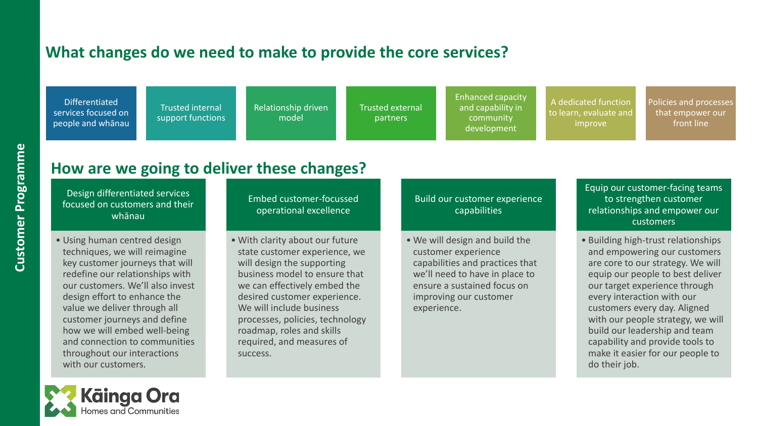### **What changes do we need to make to provide the core services?**

Differentiated services focused on people and whānau

Trusted internal support functions Relationship driven model

Trusted external partners

Enhanced capacity and capability in community development

A dedicated function to learn, evaluate and improve

Policies and processes that empower our front line

## **How are we going to deliver these changes?**

Design differentiated services focused on customers and their whānau

• Using human centred design techniques, we will reimagine key customer journeys that will redefine our relationships with our customers. We'll also invest design effort to enhance the value we deliver through all customer journeys and define how we will embed well-being and connection to communities throughout our interactions with our customers.

Embed customer-focussed operational excellence

• With clarity about our future state customer experience, we will design the supporting business model to ensure that we can effectively embed the desired customer experience. We will include business processes, policies, technology roadmap, roles and skills required, and measures of success.

Build our customer experience capabilities

• We will design and build the customer experience capabilities and practices that we'll need to have in place to ensure a sustained focus on improving our customer experience.

Equip our customer-facing teams to strengthen customer relationships and empower our customers

• Building high-trust relationships and empowering our customers are core to our strategy. We will equip our people to best deliver our target experience through every interaction with our customers every day. Aligned with our people strategy, we will build our leadership and team capability and provide tools to make it easier for our people to do their job.

![](_page_23_Picture_17.jpeg)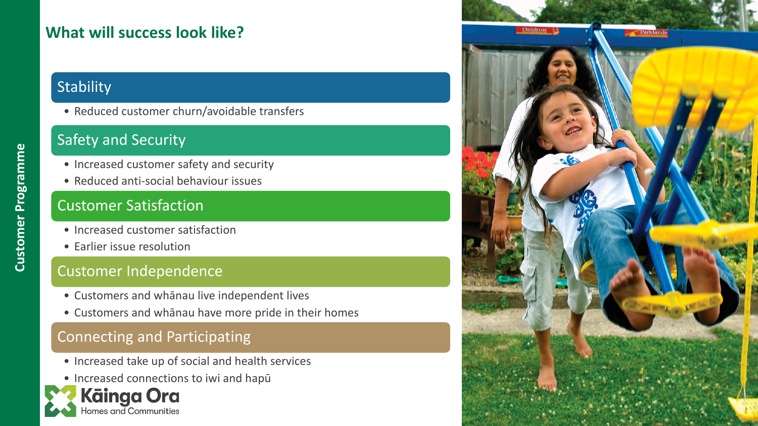## **What will success look like?**

## **Stability**

• Reduced customer churn/avoidable transfers

## Safety and Security

- Increased customer safety and security
- Reduced anti-social behaviour issues

## Customer Satisfaction

- Increased customer satisfaction
- Earlier issue resolution

### Customer Independence

- Customers and whānau live independent lives
- Customers and whānau have more pride in their homes

### Connecting and Participating

- Increased take up of social and health services
- Increased connections to iwi and hapū

![](_page_24_Picture_15.jpeg)

![](_page_24_Picture_16.jpeg)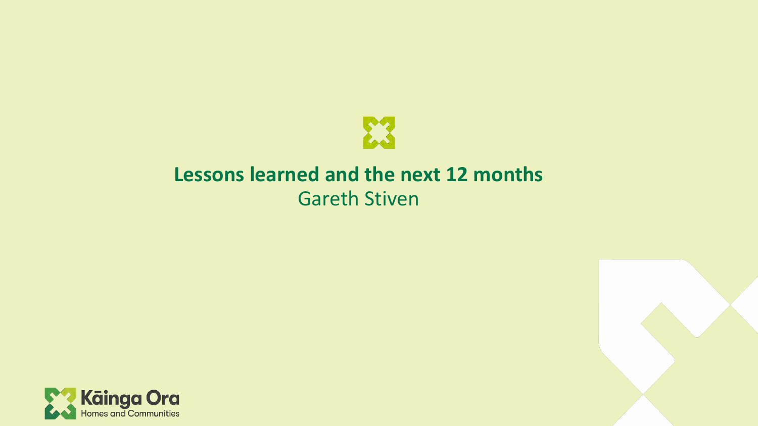![](_page_25_Picture_0.jpeg)

# **Lessons learned and the next 12 months** Gareth Stiven

![](_page_25_Picture_2.jpeg)

![](_page_25_Picture_3.jpeg)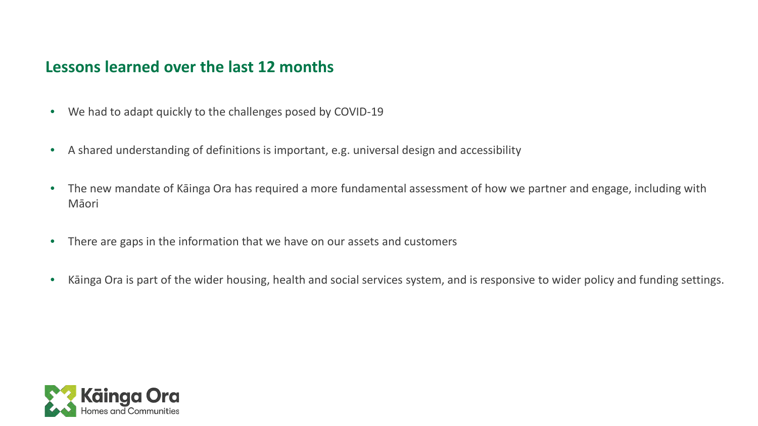### **Lessons learned over the last 12 months**

- We had to adapt quickly to the challenges posed by COVID-19
- A shared understanding of definitions is important, e.g. universal design and accessibility
- The new mandate of Kāinga Ora has required a more fundamental assessment of how we partner and engage, including with Māori
- There are gaps in the information that we have on our assets and customers
- Kāinga Ora is part of the wider housing, health and social services system, and is responsive to wider policy and funding settings.

![](_page_26_Picture_6.jpeg)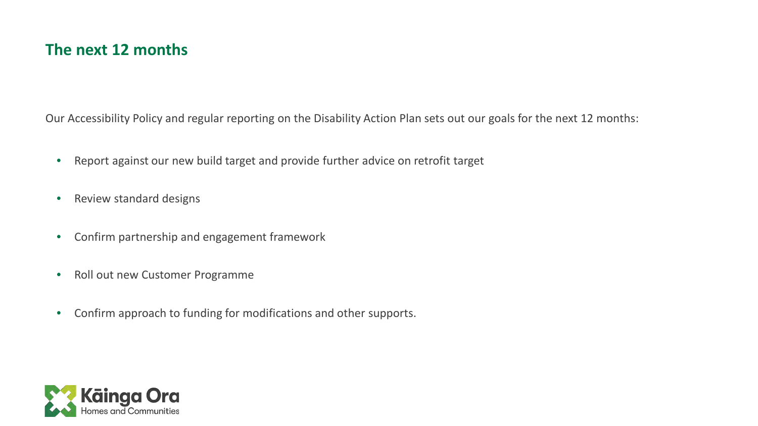### **The next 12 months**

Our Accessibility Policy and regular reporting on the Disability Action Plan sets out our goals for the next 12 months:

- Report against our new build target and provide further advice on retrofit target
- Review standard designs
- Confirm partnership and engagement framework
- Roll out new Customer Programme
- Confirm approach to funding for modifications and other supports.

![](_page_27_Picture_7.jpeg)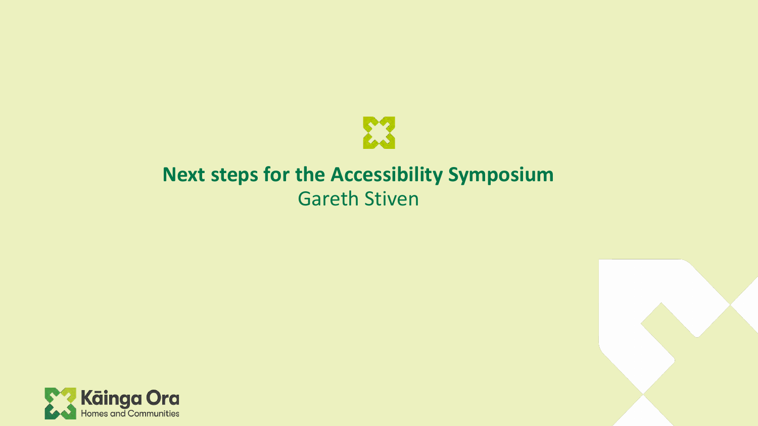![](_page_28_Picture_0.jpeg)

# **Next steps for the Accessibility Symposium** Gareth Stiven

![](_page_28_Picture_2.jpeg)

![](_page_28_Picture_3.jpeg)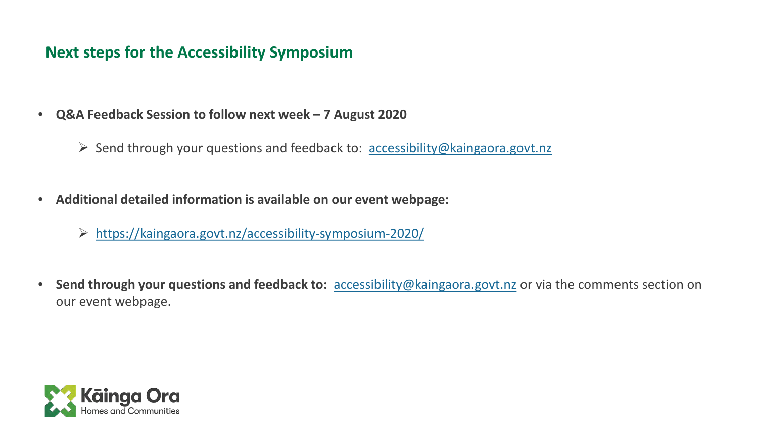### **Next steps for the Accessibility Symposium**

- **Q&A Feedback Session to follow next week – 7 August 2020**
	- $\triangleright$  Send through your questions and feedback to: [accessibility@kaingaora.govt.nz](mailto:accessibility@kaingaora.govt.nz)
- **Additional detailed information is available on our event webpage:**
	- <https://kaingaora.govt.nz/accessibility-symposium-2020/>
- **Send through your questions and feedback to:** [accessibility@kaingaora.govt.nz](mailto:accessibility@kaingaora.govt.nz) or via the comments section on our event webpage.

![](_page_29_Picture_6.jpeg)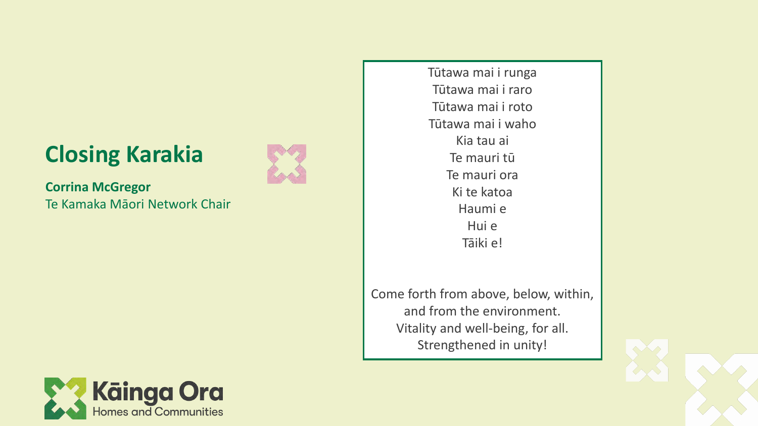# **Closing Karakia**

![](_page_30_Picture_1.jpeg)

**Corrina McGregor** Te Kamaka Māori Network Chair Tūtawa mai i runga Tūtawa mai i raro Tūtawa mai i roto Tūtawa mai i waho Kia tau ai Te mauri tū Te mauri ora Ki te katoa Haumi e Hui e Tāiki e!

Come forth from above, below, within, and from the environment. Vitality and well-being, for all. Strengthened in unity!

![](_page_30_Picture_5.jpeg)